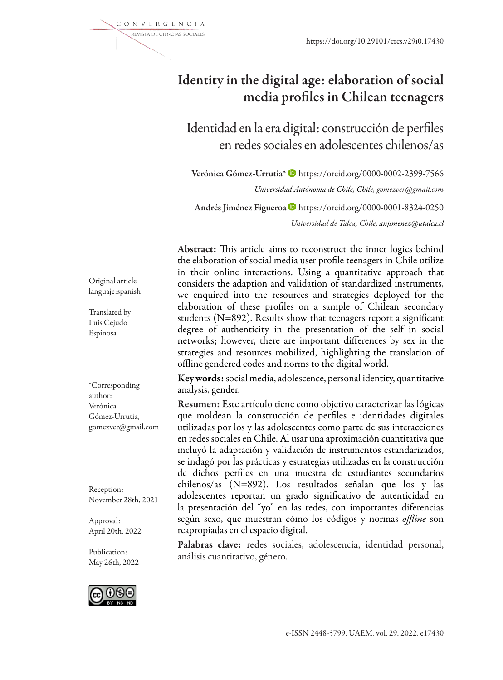https://doi.org/10.29101/crcs.v29i0.17430

# Identity in the digital age: elaboration of social media profiles in Chilean teenagers

Identidad en la era digital: construcción de perfiles en redes sociales en adolescentes chilenos/as

Verónica Gómez-Urrutia\* https://orcid.org/0000-0002-2399-7566 *Universidad Autónoma de Chile, Chile, gomezver@gmail.com*  Andrés Jiménez Figueroa https://orcid.org/0000-0001-8324-0250 *Universidad de Talca, Chile, anjimenez@utalca.cl*

Abstract: This article aims to reconstruct the inner logics behind the elaboration of social media user profile teenagers in Chile utilize in their online interactions. Using a quantitative approach that considers the adaption and validation of standardized instruments, we enquired into the resources and strategies deployed for the elaboration of these profiles on a sample of Chilean secondary students (N=892). Results show that teenagers report a significant degree of authenticity in the presentation of the self in social networks; however, there are important differences by sex in the strategies and resources mobilized, highlighting the translation of offline gendered codes and norms to the digital world.

Key words: social media, adolescence, personal identity, quantitative analysis, gender.

Resumen: Este artículo tiene como objetivo caracterizar las lógicas que moldean la construcción de perfiles e identidades digitales utilizadas por los y las adolescentes como parte de sus interacciones en redes sociales en Chile. Al usar una aproximación cuantitativa que incluyó la adaptación y validación de instrumentos estandarizados, se indagó por las prácticas y estrategias utilizadas en la construcción de dichos perfiles en una muestra de estudiantes secundarios chilenos/as (N=892). Los resultados señalan que los y las adolescentes reportan un grado significativo de autenticidad en la presentación del "yo" en las redes, con importantes diferencias según sexo, que muestran cómo los códigos y normas *offline* son reapropiadas en el espacio digital.

Palabras clave: redes sociales, adolescencia, identidad personal, análisis cuantitativo, género.

Original article languaje:spanish

Translated by Luis Cejudo Espinosa

\*Corresponding author: Verónica Gómez-Urrutia, gomezver@gmail.com

Reception: November 28th, 2021

Approval: April 20th, 2022

Publication: May 26th, 2022



e-ISSN 2448-5799, UAEM, vol. 29. 2022, e17430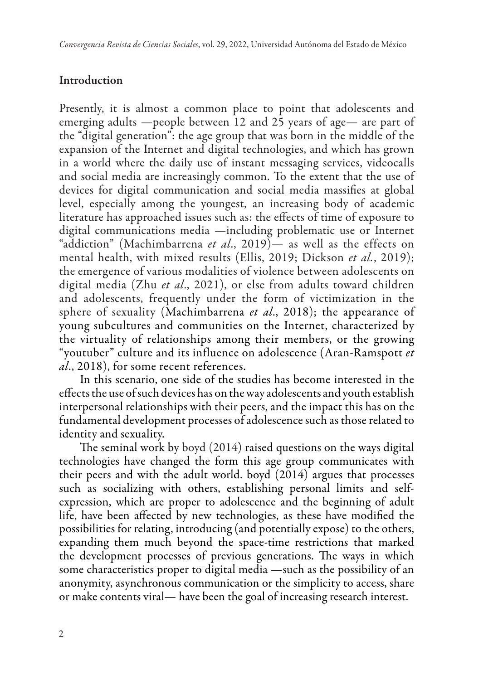# **Introduction**

Presently, it is almost a common place to point that adolescents and emerging adults —people between 12 and 25 years of age— are part of the "digital generation": the age group that was born in the middle of the expansion of the Internet and digital technologies, and which has grown in a world where the daily use of instant messaging services, videocalls and social media are increasingly common. To the extent that the use of devices for digital communication and social media massifies at global level, especially among the youngest, an increasing body of academic literature has approached issues such as: the effects of time of exposure to digital communications media —including problematic use or Internet "addiction" (Machimbarrena *et al*., 2019)— as well as the effects on mental health, with mixed results (Ellis, 2019; Dickson *et al.*, 2019); the emergence of various modalities of violence between adolescents on digital media (Zhu *et al*., 2021), or else from adults toward children and adolescents, frequently under the form of victimization in the sphere of sexuality (Machimbarrena *et al*., 2018); the appearance of young subcultures and communities on the Internet, characterized by the virtuality of relationships among their members, or the growing "youtuber" culture and its influence on adolescence (Aran-Ramspott *et al*., 2018), for some recent references.

In this scenario, one side of the studies has become interested in the effects the use of such devices has on the way adolescents and youth establish interpersonal relationships with their peers, and the impact this has on the fundamental development processes of adolescence such as those related to identity and sexuality.

The seminal work by boyd (2014) raised questions on the ways digital technologies have changed the form this age group communicates with their peers and with the adult world. boyd (2014) argues that processes such as socializing with others, establishing personal limits and selfexpression, which are proper to adolescence and the beginning of adult life, have been affected by new technologies, as these have modified the possibilities for relating, introducing (and potentially expose) to the others, expanding them much beyond the space-time restrictions that marked the development processes of previous generations. The ways in which some characteristics proper to digital media —such as the possibility of an anonymity, asynchronous communication or the simplicity to access, share or make contents viral— have been the goal of increasing research interest.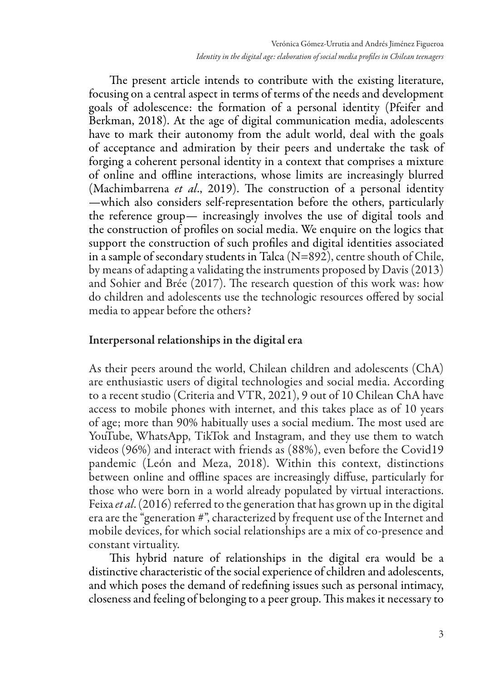The present article intends to contribute with the existing literature, focusing on a central aspect in terms of terms of the needs and development goals of adolescence: the formation of a personal identity (Pfeifer and Berkman, 2018). At the age of digital communication media, adolescents have to mark their autonomy from the adult world, deal with the goals of acceptance and admiration by their peers and undertake the task of forging a coherent personal identity in a context that comprises a mixture of online and offline interactions, whose limits are increasingly blurred (Machimbarrena *et al*., 2019). The construction of a personal identity —which also considers self-representation before the others, particularly the reference group— increasingly involves the use of digital tools and the construction of profiles on social media. We enquire on the logics that support the construction of such profiles and digital identities associated in a sample of secondary students in Talca (N=892), centre shouth of Chile, by means of adapting a validating the instruments proposed by Davis (2013) and Sohier and Brée (2017). The research question of this work was: how do children and adolescents use the technologic resources offered by social media to appear before the others?

# Interpersonal relationships in the digital era

As their peers around the world, Chilean children and adolescents (ChA) are enthusiastic users of digital technologies and social media. According to a recent studio (Criteria and VTR, 2021), 9 out of 10 Chilean ChA have access to mobile phones with internet, and this takes place as of 10 years of age; more than 90% habitually uses a social medium. The most used are YouTube, WhatsApp, TikTok and Instagram, and they use them to watch videos (96%) and interact with friends as (88%), even before the Covid19 pandemic (León and Meza, 2018). Within this context, distinctions between online and offline spaces are increasingly diffuse, particularly for those who were born in a world already populated by virtual interactions. Feixa *et al*. (2016) referred to the generation that has grown up in the digital era are the "generation #", characterized by frequent use of the Internet and mobile devices, for which social relationships are a mix of co-presence and constant virtuality.

This hybrid nature of relationships in the digital era would be a distinctive characteristic of the social experience of children and adolescents, and which poses the demand of redefining issues such as personal intimacy, closeness and feeling of belonging to a peer group. This makes it necessary to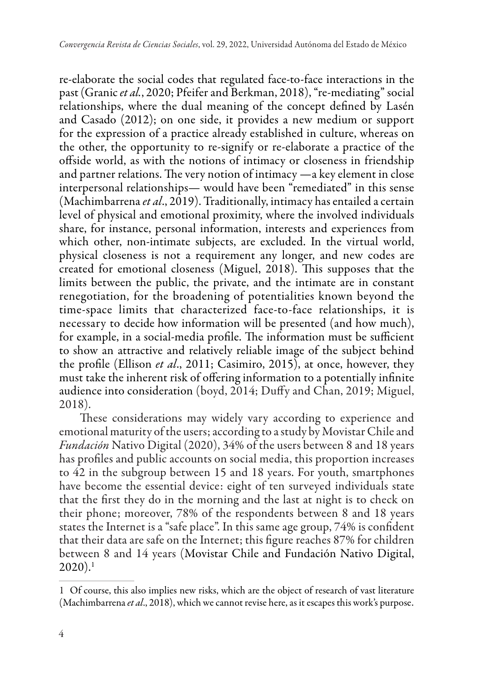re-elaborate the social codes that regulated face-to-face interactions in the past (Granic *et al.*, 2020; Pfeifer and Berkman, 2018), "re-mediating" social relationships, where the dual meaning of the concept defined by Lasén and Casado (2012); on one side, it provides a new medium or support for the expression of a practice already established in culture, whereas on the other, the opportunity to re-signify or re-elaborate a practice of the offside world, as with the notions of intimacy or closeness in friendship and partner relations. The very notion of intimacy —a key element in close interpersonal relationships— would have been "remediated" in this sense (Machimbarrena *et al*., 2019). Traditionally, intimacy has entailed a certain level of physical and emotional proximity, where the involved individuals share, for instance, personal information, interests and experiences from which other, non-intimate subjects, are excluded. In the virtual world, physical closeness is not a requirement any longer, and new codes are created for emotional closeness (Miguel, 2018). This supposes that the limits between the public, the private, and the intimate are in constant renegotiation, for the broadening of potentialities known beyond the time-space limits that characterized face-to-face relationships, it is necessary to decide how information will be presented (and how much), for example, in a social-media profile. The information must be sufficient to show an attractive and relatively reliable image of the subject behind the profile (Ellison *et al*., 2011; Casimiro, 2015), at once, however, they must take the inherent risk of offering information to a potentially infinite audience into consideration (boyd, 2014; Duffy and Chan, 2019; Miguel, 2018).

These considerations may widely vary according to experience and emotional maturity of the users; according to a study by Movistar Chile and *Fundación* Nativo Digital (2020), 34% of the users between 8 and 18 years has profiles and public accounts on social media, this proportion increases to 42 in the subgroup between 15 and 18 years. For youth, smartphones have become the essential device: eight of ten surveyed individuals state that the first they do in the morning and the last at night is to check on their phone; moreover, 78% of the respondents between 8 and 18 years states the Internet is a "safe place". In this same age group, 74% is confident that their data are safe on the Internet; this figure reaches 87% for children between 8 and 14 years (Movistar Chile and Fundación Nativo Digital,  $2020$ ).<sup>1</sup>

<sup>1</sup> Of course, this also implies new risks, which are the object of research of vast literature (Machimbarrena *et al*., 2018), which we cannot revise here, as it escapes this work's purpose.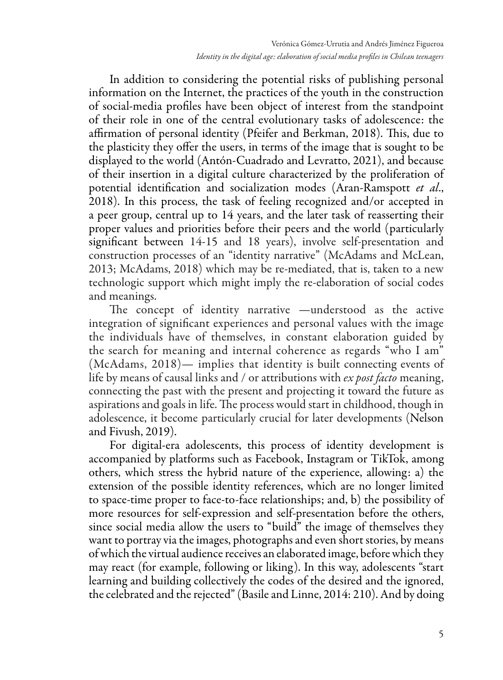In addition to considering the potential risks of publishing personal information on the Internet, the practices of the youth in the construction of social-media profiles have been object of interest from the standpoint of their role in one of the central evolutionary tasks of adolescence: the affirmation of personal identity (Pfeifer and Berkman, 2018). This, due to the plasticity they offer the users, in terms of the image that is sought to be displayed to the world (Antón-Cuadrado and Levratto, 2021), and because of their insertion in a digital culture characterized by the proliferation of potential identification and socialization modes (Aran-Ramspott *et al*., 2018). In this process, the task of feeling recognized and/or accepted in a peer group, central up to 14 years, and the later task of reasserting their proper values and priorities before their peers and the world (particularly significant between 14-15 and 18 years), involve self-presentation and construction processes of an "identity narrative" (McAdams and McLean, 2013; McAdams, 2018) which may be re-mediated, that is, taken to a new technologic support which might imply the re-elaboration of social codes and meanings.

The concept of identity narrative —understood as the active integration of significant experiences and personal values with the image the individuals have of themselves, in constant elaboration guided by the search for meaning and internal coherence as regards "who I am" (McAdams, 2018)— implies that identity is built connecting events of life by means of causal links and / or attributions with *ex post facto* meaning, connecting the past with the present and projecting it toward the future as aspirations and goals in life. The process would start in childhood, though in adolescence, it become particularly crucial for later developments (Nelson and Fivush, 2019).

For digital-era adolescents, this process of identity development is accompanied by platforms such as Facebook, Instagram or TikTok, among others, which stress the hybrid nature of the experience, allowing: a) the extension of the possible identity references, which are no longer limited to space-time proper to face-to-face relationships; and, b) the possibility of more resources for self-expression and self-presentation before the others, since social media allow the users to "build" the image of themselves they want to portray via the images, photographs and even short stories, by means of which the virtual audience receives an elaborated image, before which they may react (for example, following or liking). In this way, adolescents "start learning and building collectively the codes of the desired and the ignored, the celebrated and the rejected" (Basile and Linne, 2014: 210). And by doing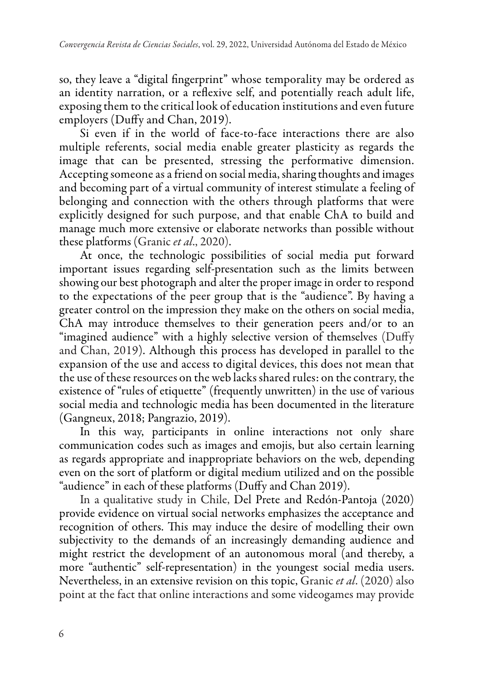so, they leave a "digital fingerprint" whose temporality may be ordered as an identity narration, or a reflexive self, and potentially reach adult life, exposing them to the critical look of education institutions and even future employers (Duffy and Chan, 2019).

Si even if in the world of face-to-face interactions there are also multiple referents, social media enable greater plasticity as regards the image that can be presented, stressing the performative dimension. Accepting someone as a friend on social media, sharing thoughts and images and becoming part of a virtual community of interest stimulate a feeling of belonging and connection with the others through platforms that were explicitly designed for such purpose, and that enable ChA to build and manage much more extensive or elaborate networks than possible without these platforms (Granic *et al*., 2020).

At once, the technologic possibilities of social media put forward important issues regarding self-presentation such as the limits between showing our best photograph and alter the proper image in order to respond to the expectations of the peer group that is the "audience". By having a greater control on the impression they make on the others on social media, ChA may introduce themselves to their generation peers and/or to an "imagined audience" with a highly selective version of themselves (Duffy and Chan, 2019). Although this process has developed in parallel to the expansion of the use and access to digital devices, this does not mean that the use of these resources on the web lacks shared rules: on the contrary, the existence of "rules of etiquette" (frequently unwritten) in the use of various social media and technologic media has been documented in the literature (Gangneux, 2018; Pangrazio, 2019).

In this way, participants in online interactions not only share communication codes such as images and emojis, but also certain learning as regards appropriate and inappropriate behaviors on the web, depending even on the sort of platform or digital medium utilized and on the possible "audience" in each of these platforms (Duffy and Chan 2019).

In a qualitative study in Chile, Del Prete and Redón-Pantoja (2020) provide evidence on virtual social networks emphasizes the acceptance and recognition of others. This may induce the desire of modelling their own subjectivity to the demands of an increasingly demanding audience and might restrict the development of an autonomous moral (and thereby, a more "authentic" self-representation) in the youngest social media users. Nevertheless, in an extensive revision on this topic, Granic *et al*. (2020) also point at the fact that online interactions and some videogames may provide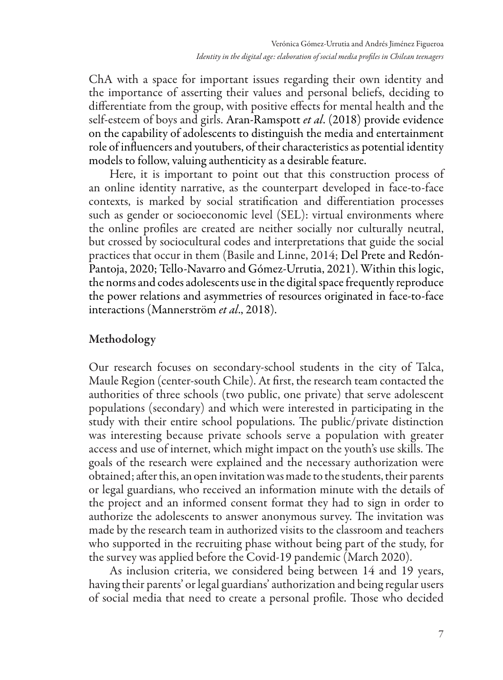ChA with a space for important issues regarding their own identity and the importance of asserting their values and personal beliefs, deciding to differentiate from the group, with positive effects for mental health and the self-esteem of boys and girls. Aran-Ramspott *et al*. (2018) provide evidence on the capability of adolescents to distinguish the media and entertainment role of influencers and youtubers, of their characteristics as potential identity models to follow, valuing authenticity as a desirable feature.

Here, it is important to point out that this construction process of an online identity narrative, as the counterpart developed in face-to-face contexts, is marked by social stratification and differentiation processes such as gender or socioeconomic level (SEL): virtual environments where the online profiles are created are neither socially nor culturally neutral, but crossed by sociocultural codes and interpretations that guide the social practices that occur in them (Basile and Linne, 2014; Del Prete and Redón-Pantoja, 2020; Tello-Navarro and Gómez-Urrutia, 2021). Within this logic, the norms and codes adolescents use in the digital space frequently reproduce the power relations and asymmetries of resources originated in face-to-face interactions (Mannerström *et al*., 2018).

# Methodology

Our research focuses on secondary-school students in the city of Talca, Maule Region (center-south Chile). At first, the research team contacted the authorities of three schools (two public, one private) that serve adolescent populations (secondary) and which were interested in participating in the study with their entire school populations. The public/private distinction was interesting because private schools serve a population with greater access and use of internet, which might impact on the youth's use skills. The goals of the research were explained and the necessary authorization were obtained; after this, an open invitation was made to the students, their parents or legal guardians, who received an information minute with the details of the project and an informed consent format they had to sign in order to authorize the adolescents to answer anonymous survey. The invitation was made by the research team in authorized visits to the classroom and teachers who supported in the recruiting phase without being part of the study, for the survey was applied before the Covid-19 pandemic (March 2020).

As inclusion criteria, we considered being between 14 and 19 years, having their parents' or legal guardians' authorization and being regular users of social media that need to create a personal profile. Those who decided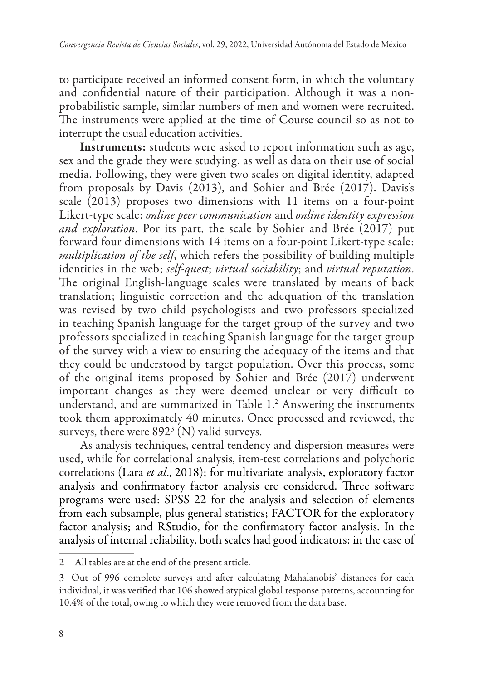to participate received an informed consent form, in which the voluntary and confidential nature of their participation. Although it was a nonprobabilistic sample, similar numbers of men and women were recruited. The instruments were applied at the time of Course council so as not to interrupt the usual education activities.

Instruments: students were asked to report information such as age, sex and the grade they were studying, as well as data on their use of social media. Following, they were given two scales on digital identity, adapted from proposals by Davis (2013), and Sohier and Brée (2017). Davis's scale (2013) proposes two dimensions with 11 items on a four-point Likert-type scale: *online peer communication* and *online identity expression and exploration*. Por its part, the scale by Sohier and Brée (2017) put forward four dimensions with 14 items on a four-point Likert-type scale: *multiplication of the self*, which refers the possibility of building multiple identities in the web; *self-quest*; *virtual sociability*; and *virtual reputation*. The original English-language scales were translated by means of back translation; linguistic correction and the adequation of the translation was revised by two child psychologists and two professors specialized in teaching Spanish language for the target group of the survey and two professors specialized in teaching Spanish language for the target group of the survey with a view to ensuring the adequacy of the items and that they could be understood by target population. Over this process, some of the original items proposed by Sohier and Brée (2017) underwent important changes as they were deemed unclear or very difficult to understand, and are summarized in Table 1.2 Answering the instruments took them approximately 40 minutes. Once processed and reviewed, the surveys, there were  $892<sup>3</sup>$  (N) valid surveys.

As analysis techniques, central tendency and dispersion measures were used, while for correlational analysis, item-test correlations and polychoric correlations (Lara *et al*., 2018); for multivariate analysis, exploratory factor analysis and confirmatory factor analysis ere considered. Three software programs were used: SPSS 22 for the analysis and selection of elements from each subsample, plus general statistics; FACTOR for the exploratory factor analysis; and RStudio, for the confirmatory factor analysis. In the analysis of internal reliability, both scales had good indicators: in the case of

<sup>2</sup> All tables are at the end of the present article.

<sup>3</sup> Out of 996 complete surveys and after calculating Mahalanobis' distances for each individual, it was verified that 106 showed atypical global response patterns, accounting for 10.4% of the total, owing to which they were removed from the data base.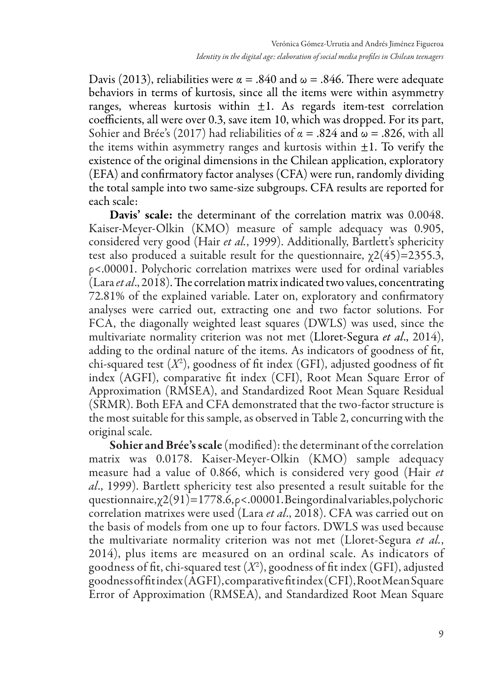Davis (2013), reliabilities were  $\alpha = .840$  and  $\omega = .846$ . There were adequate behaviors in terms of kurtosis, since all the items were within asymmetry ranges, whereas kurtosis within  $\pm 1$ . As regards item-test correlation coefficients, all were over 0.3, save item 10, which was dropped. For its part, Sohier and Brée's (2017) had reliabilities of  $\alpha = .824$  and  $\omega = .826$ , with all the items within asymmetry ranges and kurtosis within  $\pm 1$ . To verify the existence of the original dimensions in the Chilean application, exploratory (EFA) and confirmatory factor analyses (CFA) were run, randomly dividing the total sample into two same-size subgroups. CFA results are reported for each scale:

Davis' scale: the determinant of the correlation matrix was 0.0048. Kaiser-Meyer-Olkin (KMO) measure of sample adequacy was 0.905, considered very good (Hair *et al.*, 1999). Additionally, Bartlett's sphericity test also produced a suitable result for the questionnaire,  $\chi$ 2(45)=2355.3, ρ<.00001. Polychoric correlation matrixes were used for ordinal variables (Lara *et al*., 2018). The correlation matrix indicated two values, concentrating 72.81% of the explained variable. Later on, exploratory and confirmatory analyses were carried out, extracting one and two factor solutions. For FCA, the diagonally weighted least squares (DWLS) was used, since the multivariate normality criterion was not met (Lloret-Segura *et al*., 2014), adding to the ordinal nature of the items. As indicators of goodness of fit, chi-squared test (*X*<sup>2</sup> ), goodness of fit index (GFI), adjusted goodness of fit index (AGFI), comparative fit index (CFI), Root Mean Square Error of Approximation (RMSEA), and Standardized Root Mean Square Residual (SRMR). Both EFA and CFA demonstrated that the two-factor structure is the most suitable for this sample, as observed in Table 2, concurring with the original scale.

Sohier and Brée's scale (modified): the determinant of the correlation matrix was 0.0178. Kaiser-Meyer-Olkin (KMO) sample adequacy measure had a value of 0.866, which is considered very good (Hair *et al*., 1999). Bartlett sphericity test also presented a result suitable for the questionnaire,  $\chi$ 2(91)=1778.6,  $\rho$ <.00001. Being ordinal variables, polychoric correlation matrixes were used (Lara *et al*., 2018). CFA was carried out on the basis of models from one up to four factors. DWLS was used because the multivariate normality criterion was not met (Lloret-Segura *et al.*, 2014), plus items are measured on an ordinal scale. As indicators of goodness of fit, chi-squared test (*X*<sup>2</sup> ), goodness of fit index (GFI), adjusted goodness of fit index (AGFI), comparative fit index (CFI), Root Mean Square Error of Approximation (RMSEA), and Standardized Root Mean Square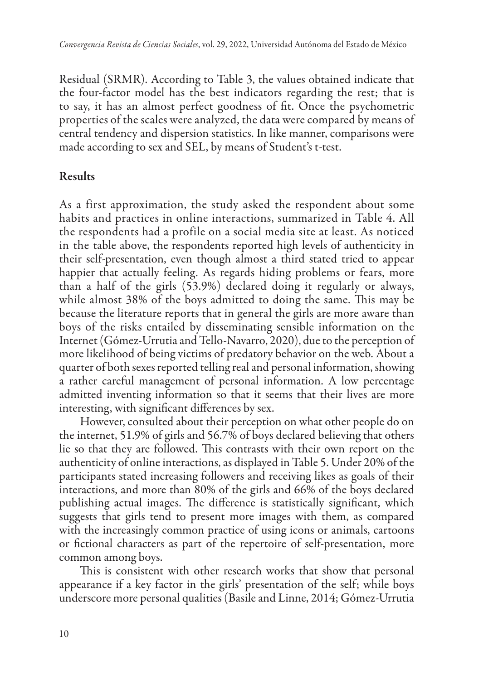Residual (SRMR). According to Table 3, the values obtained indicate that the four-factor model has the best indicators regarding the rest; that is to say, it has an almost perfect goodness of fit. Once the psychometric properties of the scales were analyzed, the data were compared by means of central tendency and dispersion statistics. In like manner, comparisons were made according to sex and SEL, by means of Student's t-test.

# Results

As a first approximation, the study asked the respondent about some habits and practices in online interactions, summarized in Table 4. All the respondents had a profile on a social media site at least. As noticed in the table above, the respondents reported high levels of authenticity in their self-presentation, even though almost a third stated tried to appear happier that actually feeling. As regards hiding problems or fears, more than a half of the girls (53.9%) declared doing it regularly or always, while almost 38% of the boys admitted to doing the same. This may be because the literature reports that in general the girls are more aware than boys of the risks entailed by disseminating sensible information on the Internet (Gómez-Urrutia and Tello-Navarro, 2020), due to the perception of more likelihood of being victims of predatory behavior on the web. About a quarter of both sexes reported telling real and personal information, showing a rather careful management of personal information. A low percentage admitted inventing information so that it seems that their lives are more interesting, with significant differences by sex.

However, consulted about their perception on what other people do on the internet, 51.9% of girls and 56.7% of boys declared believing that others lie so that they are followed. This contrasts with their own report on the authenticity of online interactions, as displayed in Table 5. Under 20% of the participants stated increasing followers and receiving likes as goals of their interactions, and more than 80% of the girls and 66% of the boys declared publishing actual images. The difference is statistically significant, which suggests that girls tend to present more images with them, as compared with the increasingly common practice of using icons or animals, cartoons or fictional characters as part of the repertoire of self-presentation, more common among boys.

This is consistent with other research works that show that personal appearance if a key factor in the girls' presentation of the self; while boys underscore more personal qualities (Basile and Linne, 2014; Gómez-Urrutia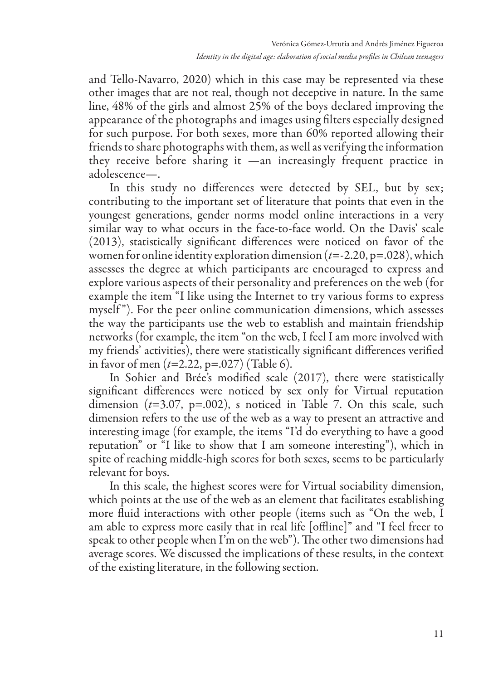and Tello-Navarro, 2020) which in this case may be represented via these other images that are not real, though not deceptive in nature. In the same line, 48% of the girls and almost 25% of the boys declared improving the appearance of the photographs and images using filters especially designed for such purpose. For both sexes, more than 60% reported allowing their friends to share photographs with them, as well as verifying the information they receive before sharing it —an increasingly frequent practice in adolescence—.

In this study no differences were detected by SEL, but by sex; contributing to the important set of literature that points that even in the youngest generations, gender norms model online interactions in a very similar way to what occurs in the face-to-face world. On the Davis' scale (2013), statistically significant differences were noticed on favor of the women for online identity exploration dimension (*t*=-2.20, p=.028), which assesses the degree at which participants are encouraged to express and explore various aspects of their personality and preferences on the web (for example the item "I like using the Internet to try various forms to express myself "). For the peer online communication dimensions, which assesses the way the participants use the web to establish and maintain friendship networks (for example, the item "on the web, I feel I am more involved with my friends' activities), there were statistically significant differences verified in favor of men (*t*=2.22, p=.027) (Table 6).

In Sohier and Brée's modified scale (2017), there were statistically significant differences were noticed by sex only for Virtual reputation dimension (*t*=3.07, p=.002), s noticed in Table 7. On this scale, such dimension refers to the use of the web as a way to present an attractive and interesting image (for example, the items "I'd do everything to have a good reputation" or "I like to show that I am someone interesting"), which in spite of reaching middle-high scores for both sexes, seems to be particularly relevant for boys.

In this scale, the highest scores were for Virtual sociability dimension, which points at the use of the web as an element that facilitates establishing more fluid interactions with other people (items such as "On the web, I am able to express more easily that in real life [offline]" and "I feel freer to speak to other people when I'm on the web"). The other two dimensions had average scores. We discussed the implications of these results, in the context of the existing literature, in the following section.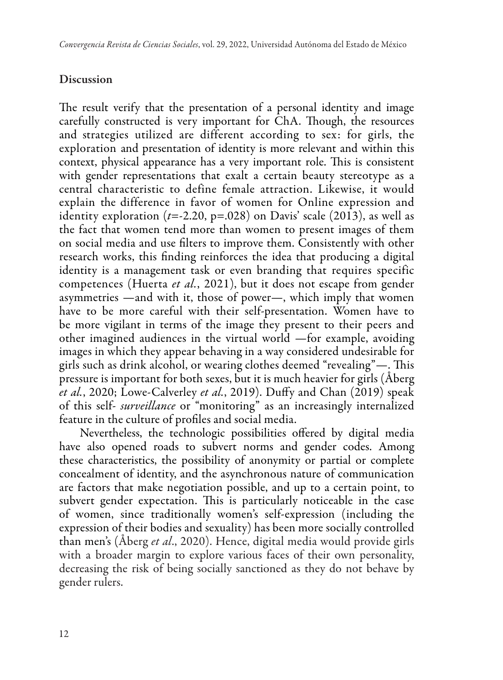# **Discussion**

The result verify that the presentation of a personal identity and image carefully constructed is very important for ChA. Though, the resources and strategies utilized are different according to sex: for girls, the exploration and presentation of identity is more relevant and within this context, physical appearance has a very important role. This is consistent with gender representations that exalt a certain beauty stereotype as a central characteristic to define female attraction. Likewise, it would explain the difference in favor of women for Online expression and identity exploration  $(t=2.20, p=.028)$  on Davis' scale  $(2013)$ , as well as the fact that women tend more than women to present images of them on social media and use filters to improve them. Consistently with other research works, this finding reinforces the idea that producing a digital identity is a management task or even branding that requires specific competences (Huerta *et al.*, 2021), but it does not escape from gender asymmetries —and with it, those of power—, which imply that women have to be more careful with their self-presentation. Women have to be more vigilant in terms of the image they present to their peers and other imagined audiences in the virtual world —for example, avoiding images in which they appear behaving in a way considered undesirable for girls such as drink alcohol, or wearing clothes deemed "revealing"—. This pressure is important for both sexes, but it is much heavier for girls (Åberg *et al.*, 2020; Lowe-Calverley *et al.*, 2019). Duffy and Chan (2019) speak of this self- *surveillance* or "monitoring" as an increasingly internalized feature in the culture of profiles and social media.

Nevertheless, the technologic possibilities offered by digital media have also opened roads to subvert norms and gender codes. Among these characteristics, the possibility of anonymity or partial or complete concealment of identity, and the asynchronous nature of communication are factors that make negotiation possible, and up to a certain point, to subvert gender expectation. This is particularly noticeable in the case of women, since traditionally women's self-expression (including the expression of their bodies and sexuality) has been more socially controlled than men's (Åberg *et al*., 2020). Hence, digital media would provide girls with a broader margin to explore various faces of their own personality, decreasing the risk of being socially sanctioned as they do not behave by gender rulers.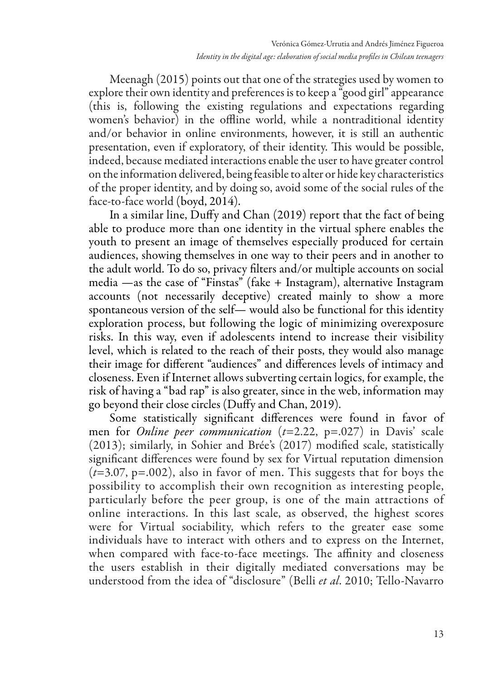Meenagh (2015) points out that one of the strategies used by women to explore their own identity and preferences is to keep a "good girl" appearance (this is, following the existing regulations and expectations regarding women's behavior) in the offline world, while a nontraditional identity and/or behavior in online environments, however, it is still an authentic presentation, even if exploratory, of their identity. This would be possible, indeed, because mediated interactions enable the user to have greater control on the information delivered, being feasible to alter or hide key characteristics of the proper identity, and by doing so, avoid some of the social rules of the face-to-face world (boyd, 2014).

In a similar line, Duffy and Chan (2019) report that the fact of being able to produce more than one identity in the virtual sphere enables the youth to present an image of themselves especially produced for certain audiences, showing themselves in one way to their peers and in another to the adult world. To do so, privacy filters and/or multiple accounts on social media —as the case of "Finstas" (fake + Instagram), alternative Instagram accounts (not necessarily deceptive) created mainly to show a more spontaneous version of the self— would also be functional for this identity exploration process, but following the logic of minimizing overexposure risks. In this way, even if adolescents intend to increase their visibility level, which is related to the reach of their posts, they would also manage their image for different "audiences" and differences levels of intimacy and closeness. Even if Internet allows subverting certain logics, for example, the risk of having a "bad rap" is also greater, since in the web, information may go beyond their close circles (Duffy and Chan, 2019).

Some statistically significant differences were found in favor of men for *Online peer communication* (*t*=2.22, p=.027) in Davis' scale (2013); similarly, in Sohier and Brée's (2017) modified scale, statistically significant differences were found by sex for Virtual reputation dimension (*t*=3.07, p=.002), also in favor of men. This suggests that for boys the possibility to accomplish their own recognition as interesting people, particularly before the peer group, is one of the main attractions of online interactions. In this last scale, as observed, the highest scores were for Virtual sociability, which refers to the greater ease some individuals have to interact with others and to express on the Internet, when compared with face-to-face meetings. The affinity and closeness the users establish in their digitally mediated conversations may be understood from the idea of "disclosure" (Belli *et al*. 2010; Tello-Navarro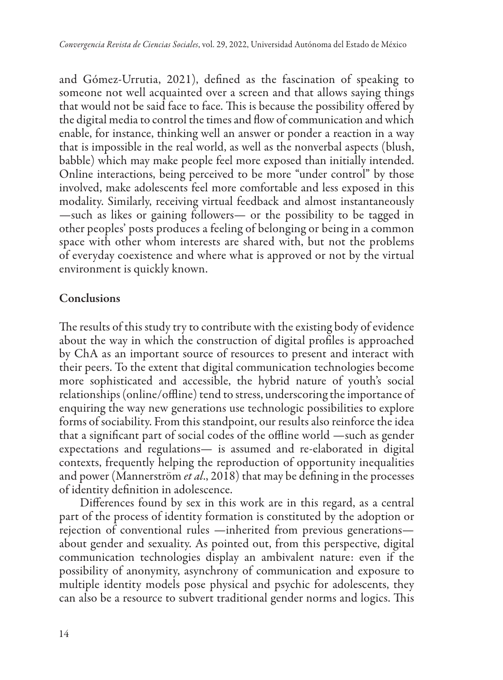and Gómez-Urrutia, 2021), defined as the fascination of speaking to someone not well acquainted over a screen and that allows saying things that would not be said face to face. This is because the possibility offered by the digital media to control the times and flow of communication and which enable, for instance, thinking well an answer or ponder a reaction in a way that is impossible in the real world, as well as the nonverbal aspects (blush, babble) which may make people feel more exposed than initially intended. Online interactions, being perceived to be more "under control" by those involved, make adolescents feel more comfortable and less exposed in this modality. Similarly, receiving virtual feedback and almost instantaneously —such as likes or gaining followers— or the possibility to be tagged in other peoples' posts produces a feeling of belonging or being in a common space with other whom interests are shared with, but not the problems of everyday coexistence and where what is approved or not by the virtual environment is quickly known.

### Conclusions

The results of this study try to contribute with the existing body of evidence about the way in which the construction of digital profiles is approached by ChA as an important source of resources to present and interact with their peers. To the extent that digital communication technologies become more sophisticated and accessible, the hybrid nature of youth's social relationships (online/offline) tend to stress, underscoring the importance of enquiring the way new generations use technologic possibilities to explore forms of sociability. From this standpoint, our results also reinforce the idea that a significant part of social codes of the offline world —such as gender expectations and regulations— is assumed and re-elaborated in digital contexts, frequently helping the reproduction of opportunity inequalities and power (Mannerström *et al*., 2018) that may be defining in the processes of identity definition in adolescence.

Differences found by sex in this work are in this regard, as a central part of the process of identity formation is constituted by the adoption or rejection of conventional rules —inherited from previous generations about gender and sexuality. As pointed out, from this perspective, digital communication technologies display an ambivalent nature: even if the possibility of anonymity, asynchrony of communication and exposure to multiple identity models pose physical and psychic for adolescents, they can also be a resource to subvert traditional gender norms and logics. This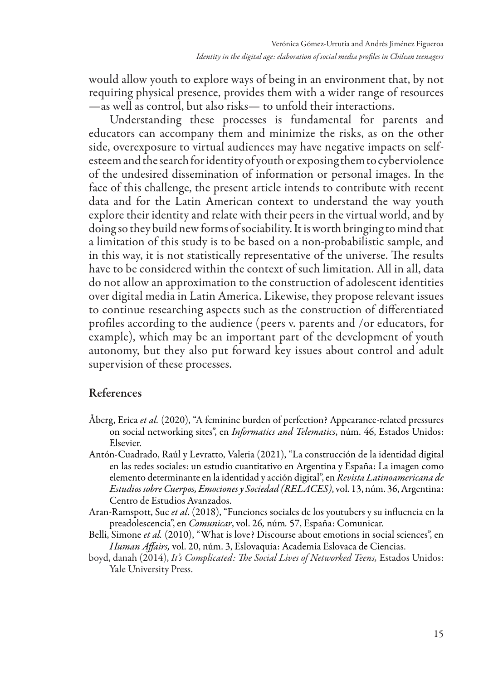would allow youth to explore ways of being in an environment that, by not requiring physical presence, provides them with a wider range of resources —as well as control, but also risks— to unfold their interactions.

Understanding these processes is fundamental for parents and educators can accompany them and minimize the risks, as on the other side, overexposure to virtual audiences may have negative impacts on selfesteem and the search for identity of youth or exposing them to cyberviolence of the undesired dissemination of information or personal images. In the face of this challenge, the present article intends to contribute with recent data and for the Latin American context to understand the way youth explore their identity and relate with their peers in the virtual world, and by doing so they build new forms of sociability. It is worth bringing to mind that a limitation of this study is to be based on a non-probabilistic sample, and in this way, it is not statistically representative of the universe. The results have to be considered within the context of such limitation. All in all, data do not allow an approximation to the construction of adolescent identities over digital media in Latin America. Likewise, they propose relevant issues to continue researching aspects such as the construction of differentiated profiles according to the audience (peers v. parents and /or educators, for example), which may be an important part of the development of youth autonomy, but they also put forward key issues about control and adult supervision of these processes.

#### References

- Åberg, Erica *et al.* (2020), "A feminine burden of perfection? Appearance-related pressures on social networking sites", en *Informatics and Telematics*, núm. 46, Estados Unidos: Elsevier.
- Antón-Cuadrado, Raúl y Levratto, Valeria (2021), "La construcción de la identidad digital en las redes sociales: un estudio cuantitativo en Argentina y España: La imagen como elemento determinante en la identidad y acción digital", en *Revista Latinoamericana de Estudios sobre Cuerpos, Emociones y Sociedad (RELACES)*, vol. 13, núm. 36, Argentina: Centro de Estudios Avanzados.
- Aran-Ramspott, Sue *et al*. (2018), "Funciones sociales de los youtubers y su influencia en la preadolescencia", en *Comunicar*, vol. 26*,* núm*.* 57, España: Comunicar.
- Belli, Simone *et al.* (2010), "What is love? Discourse about emotions in social sciences", en *Human Affairs,* vol. 20, núm. 3, Eslovaquia: Academia Eslovaca de Ciencias.
- boyd, danah (2014), *It's Complicated: The Social Lives of Networked Teens,* Estados Unidos: Yale University Press.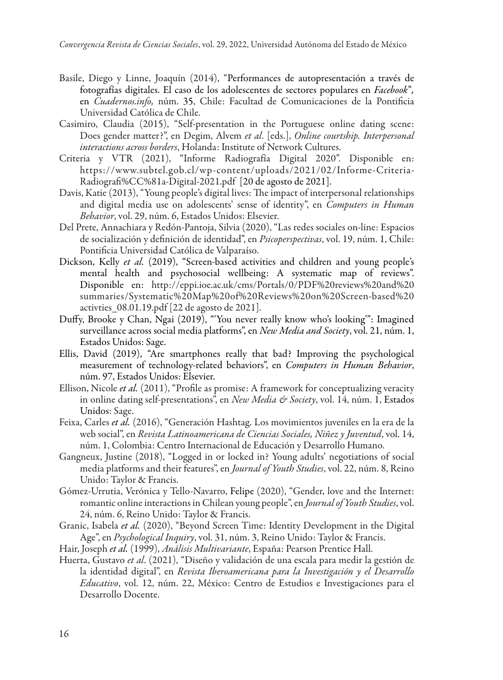- Basile, Diego y Linne, Joaquín (2014), "Performances de autopresentación a través de fotografías digitales. El caso de los adolescentes de sectores populares en *Facebook*"*,*  en *Cuadernos.info,* núm. 35, Chile: Facultad de Comunicaciones de la Pontificia Universidad Católica de Chile.
- Casimiro, Claudia (2015), "Self-presentation in the Portuguese online dating scene: Does gender matter?", en Degim, Alvem *et al*. [eds.], *Online courtship. Interpersonal interactions across borders*, Holanda: Institute of Network Cultures.
- Criteria y VTR (2021), "Informe Radiografía Digital 2020". Disponible en: https://www.subtel.gob.cl/wp-content/uploads/2021/02/Informe-Criteria-Radiografi%CC%81a-Digital-2021.pdf [20 de agosto de 2021].
- Davis, Katie (2013), "Young people's digital lives: The impact of interpersonal relationships and digital media use on adolescents' sense of identity", en *Computers in Human Behavior*, vol. 29, núm. 6, Estados Unidos: Elsevier.
- Del Prete, Annachiara y Redón-Pantoja, Silvia (2020), "Las redes sociales on-line: Espacios de socialización y definición de identidad", en *Psicoperspectivas*, vol. 19, núm. 1, Chile: Pontificia Universidad Católica de Valparaíso.
- Dickson, Kelly *et al.* (2019), "Screen-based activities and children and young people's mental health and psychosocial wellbeing: A systematic map of reviews". Disponible en: http://eppi.ioe.ac.uk/cms/Portals/0/PDF%20reviews%20and%20 summaries/Systematic%20Map%20of%20Reviews%20on%20Screen-based%20 activties\_08.01.19.pdf [22 de agosto de 2021].
- Duffy, Brooke y Chan, Ngai (2019), "'You never really know who's looking'": Imagined surveillance across social media platforms", en *New Media and Society*, vol. 21, núm. 1, Estados Unidos: Sage.
- Ellis, David (2019), "Are smartphones really that bad? Improving the psychological measurement of technology-related behaviors", en *Computers in Human Behavior*, núm. 97, Estados Unidos: Elsevier.
- Ellison, Nicole *et al.* (2011), "Profile as promise: A framework for conceptualizing veracity in online dating self-presentations", en *New Media & Society*, vol. 14, núm. 1, Estados Unidos: Sage.
- Feixa, Carles *et al.* (2016), "Generación Hashtag. Los movimientos juveniles en la era de la web social", en *Revista Latinoamericana de Ciencias Sociales, Niñez y Juventud*, vol. 14, núm. 1, Colombia: Centro Internacional de Educación y Desarrollo Humano.
- Gangneux, Justine (2018), "Logged in or locked in? Young adults' negotiations of social media platforms and their features", en *Journal of Youth Studies*, vol. 22, núm. 8, Reino Unido: Taylor & Francis.
- Gómez-Urrutia, Verónica y Tello-Navarro, Felipe (2020), "Gender, love and the Internet: romantic online interactions in Chilean young people", en *Journal of Youth Studies*, vol. 24, núm. 6, Reino Unido: Taylor & Francis.
- Granic, Isabela *et al.* (2020), "Beyond Screen Time: Identity Development in the Digital Age", en *Psychological Inquiry*, vol. 31, núm. 3, Reino Unido: Taylor & Francis.
- Hair, Joseph *et al.* (1999), *Análisis Multivariante*, España: Pearson Prentice Hall.
- Huerta, Gustavo *et al*. (2021), "Diseño y validación de una escala para medir la gestión de la identidad digital", en *Revista Iberoamericana para la Investigación y el Desarrollo Educativo*, vol. 12, núm. 22, México: Centro de Estudios e Investigaciones para el Desarrollo Docente.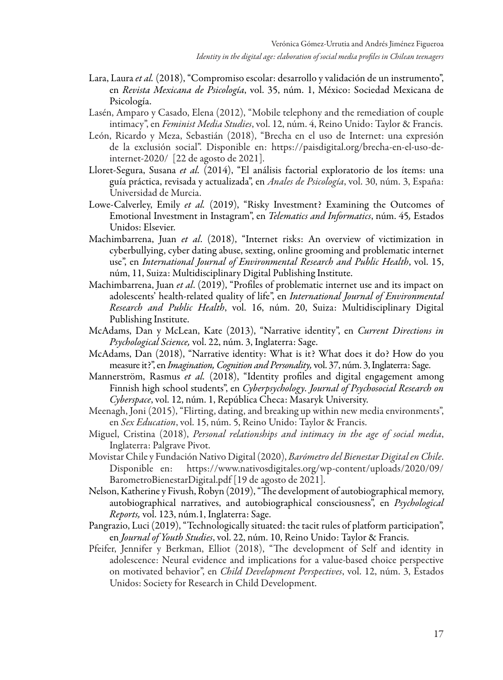- Lara, Laura *et al.* (2018), "Compromiso escolar: desarrollo y validación de un instrumento", en *Revista Mexicana de Psicología*, vol. 35, núm. 1, México: Sociedad Mexicana de Psicología.
- Lasén, Amparo y Casado, Elena (2012), "Mobile telephony and the remediation of couple intimacy", en *Feminist Media Studies*, vol. 12, núm. 4, Reino Unido: Taylor & Francis.
- León, Ricardo y Meza, Sebastián (2018), "Brecha en el uso de Internet: una expresión de la exclusión social". Disponible en: https://paisdigital.org/brecha-en-el-uso-deinternet-2020/ [22 de agosto de 2021].
- Lloret-Segura, Susana *et al.* (2014), "El análisis factorial exploratorio de los ítems: una guía práctica, revisada y actualizada", en *Anales de Psicología*, vol. 30, núm. 3, España: Universidad de Murcia.
- Lowe-Calverley, Emily *et al.* (2019), "Risky Investment? Examining the Outcomes of Emotional Investment in Instagram", en *Telematics and Informatics*, núm. 45*,* Estados Unidos: Elsevier.
- Machimbarrena, Juan *et al*. (2018), "Internet risks: An overview of victimization in cyberbullying, cyber dating abuse, sexting, online grooming and problematic internet use", en *International Journal of Environmental Research and Public Health*, vol. 15, núm, 11, Suiza: Multidisciplinary Digital Publishing Institute.
- Machimbarrena, Juan *et al*. (2019), "Profiles of problematic internet use and its impact on adolescents' health-related quality of life", en *International Journal of Environmental Research and Public Health*, vol. 16, núm. 20, Suiza: Multidisciplinary Digital Publishing Institute.
- McAdams, Dan y McLean, Kate (2013), "Narrative identity", en *Current Directions in Psychological Science,* vol. 22, núm. 3, Inglaterra: Sage.
- McAdams, Dan (2018), "Narrative identity: What is it? What does it do? How do you measure it?", en *Imagination, Cognition and Personality,* vol. 37, núm. 3, Inglaterra: Sage.
- Mannerström, Rasmus *et al.* (2018), "Identity profiles and digital engagement among Finnish high school students", en *Cyberpsychology. Journal of Psychosocial Research on Cyberspace*, vol. 12, núm. 1, República Checa: Masaryk University.
- Meenagh, Joni (2015), "Flirting, dating, and breaking up within new media environments", en *Sex Education*, vol. 15, núm. 5, Reino Unido: Taylor & Francis.
- Miguel, Cristina (2018), *Personal relationships and intimacy in the age of social media*, Inglaterra: Palgrave Pivot.
- Movistar Chile y Fundación Nativo Digital (2020), *Barómetro del Bienestar Digital en Chile*. Disponible en: https://www.nativosdigitales.org/wp-content/uploads/2020/09/ BarometroBienestarDigital.pdf [19 de agosto de 2021].
- Nelson, Katherine y Fivush, Robyn (2019), "The development of autobiographical memory, autobiographical narratives, and autobiographical consciousness", en *Psychological Reports,* vol. 123, núm.1, Inglaterra: Sage.
- Pangrazio, Luci (2019), "Technologically situated: the tacit rules of platform participation", en *Journal of Youth Studies*, vol. 22, núm. 10, Reino Unido: Taylor & Francis.
- Pfeifer, Jennifer y Berkman, Elliot (2018), "The development of Self and identity in adolescence: Neural evidence and implications for a value-based choice perspective on motivated behavior", en *Child Development Perspectives*, vol. 12, núm. 3, Estados Unidos: Society for Research in Child Development.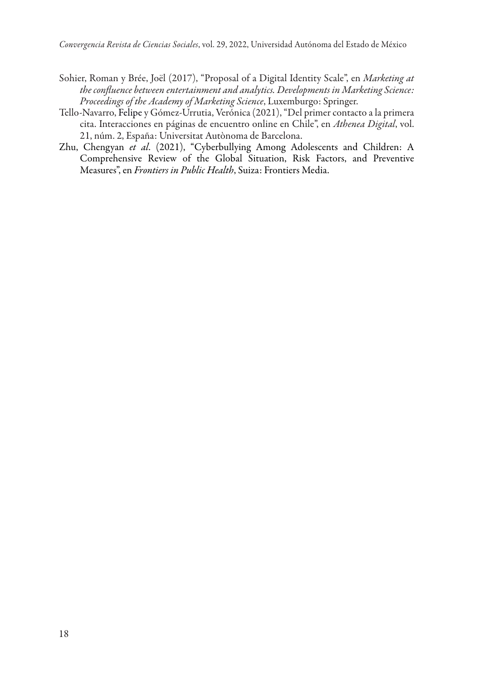- Sohier, Roman y Brée, Joël (2017), "Proposal of a Digital Identity Scale", en *Marketing at the confluence between entertainment and analytics. Developments in Marketing Science: Proceedings of the Academy of Marketing Science*, Luxemburgo: Springer.
- Tello-Navarro, Felipe y Gómez-Urrutia, Verónica (2021), "Del primer contacto a la primera cita. Interacciones en páginas de encuentro online en Chile", en *Athenea Digital*, vol. 21, núm. 2, España: Universitat Autònoma de Barcelona.
- Zhu, Chengyan *et al*. (2021), "Cyberbullying Among Adolescents and Children: A Comprehensive Review of the Global Situation, Risk Factors, and Preventive Measures", en *Frontiers in Public Health*, Suiza: Frontiers Media.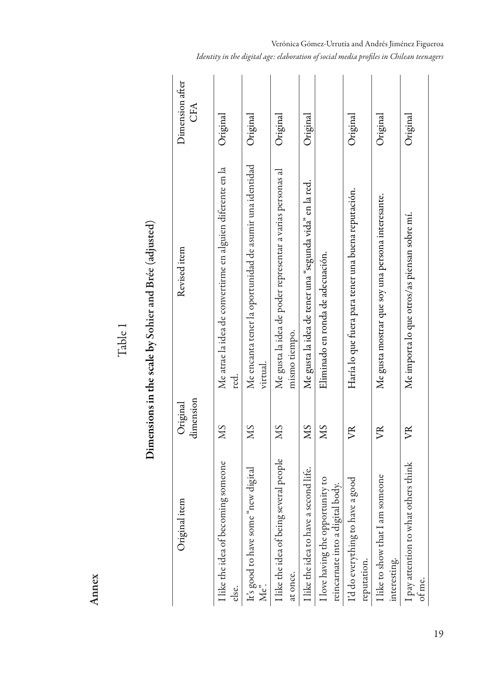Annex

Table 1

| ì<br>Î           |
|------------------|
|                  |
|                  |
| $\mathbf{I}$     |
|                  |
| こうしょう こうしょう      |
|                  |
|                  |
|                  |
|                  |
|                  |
|                  |
| ;                |
|                  |
| ļ                |
|                  |
|                  |
|                  |
| ו המכתי          |
|                  |
|                  |
| -<br>-<br>-      |
|                  |
|                  |
| .<br>.<br>.<br>. |
| ١                |
|                  |
|                  |

| Original item                                                        | dimension<br>Original | Revised item                                                                | Dimension after<br>CFA |
|----------------------------------------------------------------------|-----------------------|-----------------------------------------------------------------------------|------------------------|
| I like the idea of becoming someone<br>else.                         | SM                    | Me atrae la idea de convertirme en alguien diferente en la<br>red.          | Original               |
| It's good to have some "new digital<br>Me".                          | SM                    | Me encanta tener la oportunidad de asumir una identidad<br>virtual.         | Original               |
| I like the idea of being several people<br>at once.                  | SM                    | Me gusta la idea de poder representar a varias personas al<br>mismo tiempo. | Original               |
| I like the idea to have a second life.                               | SW                    | Me gusta la idea de tener una "segunda vida" en la red.                     | Original               |
| I love having the opportunity to<br>reincarnate into a digital body. | SW                    | Eliminado en ronda de adecuación.                                           |                        |
| I'd do everything to have a good<br>reputation.                      | УŘ                    | Haría lo que fuera para tener una buena reputación.                         | Original               |
| I like to show that I am someone<br>interesting.                     | FR                    | Me gusta mostrar que soy una persona interesante.                           | Original               |
| I pay attention to what others think<br>ot me.                       | FR                    | Me importa lo que otros/as piensan sobre mi.                                | Original               |

#### Verónica Gómez-Urrutia and Andrés Jiménez Figueroa *Identity in the digital age: elaboration of social media profiles in Chilean teenagers*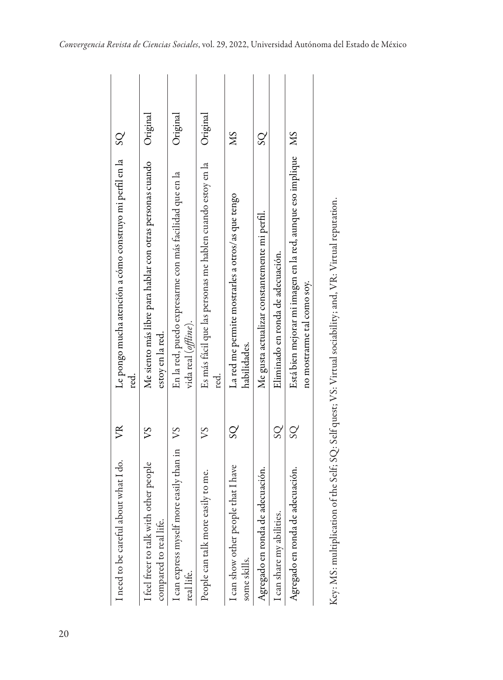| I need to be careful about what I do.                            | FR                      | $\overline{S}$<br>Le pongo mucha atención a cómo construyo mi perfil en la<br>red<br>       |          |
|------------------------------------------------------------------|-------------------------|---------------------------------------------------------------------------------------------|----------|
| I feel freer to talk with other people<br>compared to real life. | ΣΛ                      | Me siento más libre para hablar con otras personas cuando<br>estoy en la red.               | Original |
| I can express myself more easily than in VS<br>real life.        |                         | En la red, puedo expresarme con más facilidad que en la<br>vida real ( <i>offtine</i> ).    | Original |
| People can talk more easily to me.                               | S                       | Es más fácil que las personas me hablen cuando estoy en la<br>red.                          | Original |
| I can show other people that I have<br>some skills.              | $\rm{SO}$               | SN<br>La red me permite mostrarles a otros/as que tengo<br>habilidades.                     |          |
| Agregado en ronda de adecuación.                                 |                         | $\overline{S}$<br>Me gusta actualizar constantemente mi perfil.                             |          |
| I can share my abilities.                                        | $\overline{\mathrm{S}}$ | Eliminado en ronda de adecuación.                                                           |          |
| Agregado en ronda de adecuación.                                 | $\overline{S}$          | Está bien mejorar mi imagen en la red, aunque eso implique MS<br>no mostrarme tal como soy. |          |
|                                                                  |                         |                                                                                             |          |

Key: MS: multiplication of the Self; SQ: Self quest; VS: Virtual sociability; and, VR: Virtual reputation. Key: MS: multiplication of the Self; SQ: Self quest; VS: Virtual sociability; and, VR: Virtual reputation.

i.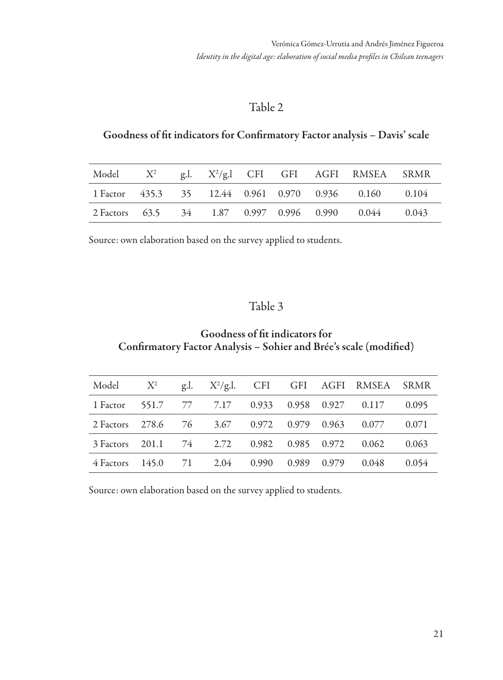#### Goodness of fit indicators for Confirmatory Factor analysis – Davis' scale

| Model $X^2$ |  |  |  | g.l. $X^2/g$ .l CFI GFI AGFI RMSEA SRMR               |  |
|-------------|--|--|--|-------------------------------------------------------|--|
|             |  |  |  | 1 Factor 435.3 35 12.44 0.961 0.970 0.936 0.160 0.104 |  |
|             |  |  |  | 2 Factors 63.5 34 1.87 0.997 0.996 0.990 0.044 0.043  |  |

Source: own elaboration based on the survey applied to students.

#### Table 3

#### Goodness of fit indicators for Confirmatory Factor Analysis – Sohier and Brée's scale (modified)

| Model $X^2$ g.l. $X^2/g.1$ . CFI GFI AGFI RMSEA SRMR  |  |  |  |                                                       |  |
|-------------------------------------------------------|--|--|--|-------------------------------------------------------|--|
| 1 Factor 551.7 77 7.17 0.933 0.958 0.927 0.117 0.095  |  |  |  |                                                       |  |
| 2 Factors 278.6 76 3.67 0.972 0.979 0.963 0.077 0.071 |  |  |  |                                                       |  |
|                                                       |  |  |  | 3 Factors 201.1 74 2.72 0.982 0.985 0.972 0.062 0.063 |  |
| 4 Factors 145.0 71 2.04 0.990 0.989 0.979 0.048 0.054 |  |  |  |                                                       |  |

Source: own elaboration based on the survey applied to students.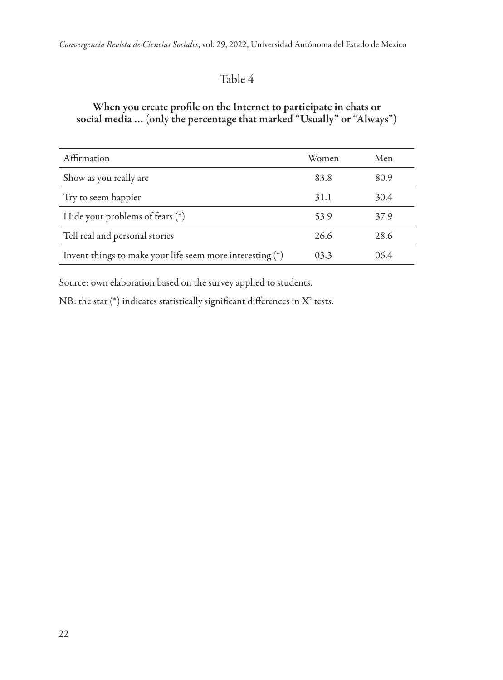#### When you create profile on the Internet to participate in chats or social media … (only the percentage that marked "Usually" or "Always")

| Affirmation                                                 | Women | Men  |
|-------------------------------------------------------------|-------|------|
| Show as you really are                                      | 83.8  | 80.9 |
| Try to seem happier                                         | 31.1  | 30.4 |
| Hide your problems of fears $(*)$                           | 53.9  | 37.9 |
| Tell real and personal stories                              | 26.6  | 28.6 |
| Invent things to make your life seem more interesting $(*)$ | 03.3  | 06.4 |

Source: own elaboration based on the survey applied to students.

NB: the star (\*) indicates statistically significant differences in  $\mathrm{X}^\mathrm{2}$  tests.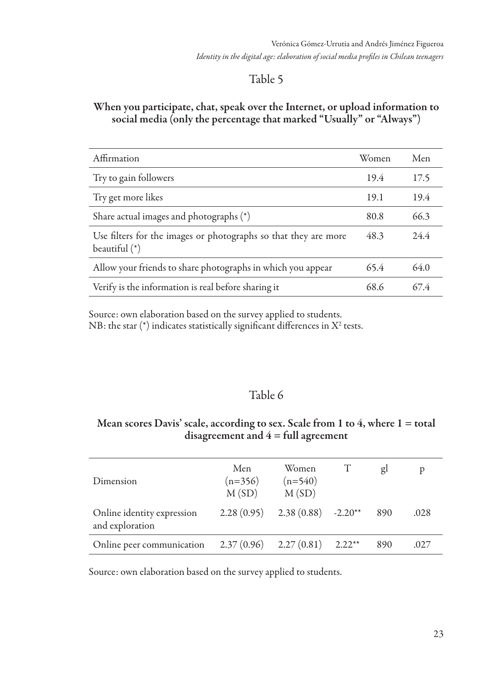#### When you participate, chat, speak over the Internet, or upload information to social media (only the percentage that marked "Usually" or "Always")

| Affirmation                                                                      | Women | Men  |
|----------------------------------------------------------------------------------|-------|------|
| Try to gain followers                                                            | 19.4  | 17.5 |
| Try get more likes                                                               | 19.1  | 19.4 |
| Share actual images and photographs (*)                                          | 80.8  | 66.3 |
| Use filters for the images or photographs so that they are more<br>beautiful (*) | 48.3  | 24.4 |
| Allow your friends to share photographs in which you appear                      | 65.4  | 64.0 |
| Verify is the information is real before sharing it                              | 68.6  | 674  |

Source: own elaboration based on the survey applied to students.

NB: the star (\*) indicates statistically significant differences in  $\mathrm{X}^\mathrm{2}$  tests.

### Table 6

#### Mean scores Davis' scale, according to sex. Scale from 1 to 4, where  $1 =$  total disagreement and  $4 = \text{full agreement}$

| Dimension                                     | Men<br>$(n=356)$<br>M(SD) | Women<br>$(n=540)$<br>M(SD)         | gl  | Þ    |
|-----------------------------------------------|---------------------------|-------------------------------------|-----|------|
| Online identity expression<br>and exploration |                           | $2.28(0.95)$ $2.38(0.88)$ $-2.20**$ | 890 | .028 |
| Online peer communication                     |                           | $2.37(0.96)$ $2.27(0.81)$ $2.22**$  | 890 | .027 |

Source: own elaboration based on the survey applied to students.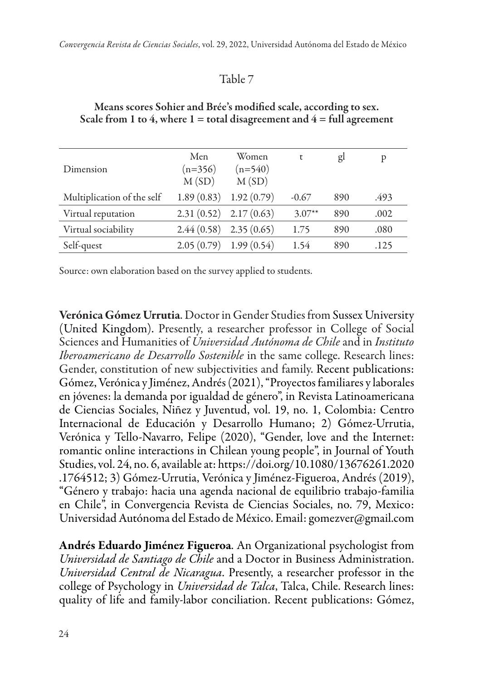| Dimension                  | Men<br>$(n=356)$<br>M(SD) | Women<br>$(n=540)$<br>M(SD) | t        | gl  | p    |
|----------------------------|---------------------------|-----------------------------|----------|-----|------|
| Multiplication of the self | 1.89(0.83)                | 1.92(0.79)                  | $-0.67$  | 890 | .493 |
| Virtual reputation         |                           | $2.31(0.52)$ $2.17(0.63)$   | $3.07**$ | 890 | .002 |
| Virtual sociability        | 2.44(0.58)                | 2.35(0.65)                  | 1.75     | 890 | .080 |
| Self-quest                 | 2.05(0.79)                | 1.99(0.54)                  | 1.54     | 890 | .125 |
|                            |                           |                             |          |     |      |

#### Means scores Sohier and Brée's modified scale, according to sex. Scale from 1 to 4, where  $1 =$  total disagreement and  $4 =$  full agreement

Source: own elaboration based on the survey applied to students.

Verónica Gómez Urrutia. Doctor in Gender Studies from Sussex University (United Kingdom). Presently, a researcher professor in College of Social Sciences and Humanities of *Universidad Autónoma de Chile* and in *Instituto Iberoamericano de Desarrollo Sostenible* in the same college. Research lines: Gender, constitution of new subjectivities and family. Recent publications: Gómez, Verónica y Jiménez, Andrés (2021), "Proyectos familiares y laborales en jóvenes: la demanda por igualdad de género", in Revista Latinoamericana de Ciencias Sociales, Niñez y Juventud, vol. 19, no. 1, Colombia: Centro Internacional de Educación y Desarrollo Humano; 2) Gómez-Urrutia, Verónica y Tello-Navarro, Felipe (2020), "Gender, love and the Internet: romantic online interactions in Chilean young people", in Journal of Youth Studies, vol. 24, no. 6, available at: https://doi.org/10.1080/13676261.2020 .1764512; 3) Gómez-Urrutia, Verónica y Jiménez-Figueroa, Andrés (2019), "Género y trabajo: hacia una agenda nacional de equilibrio trabajo-familia en Chile", in Convergencia Revista de Ciencias Sociales, no. 79, Mexico: Universidad Autónoma del Estado de México. Email: gomezver@gmail.com

Andrés Eduardo Jiménez Figueroa. An Organizational psychologist from *Universidad de Santiago de Chile* and a Doctor in Business Administration. *Universidad Central de Nicaragua*. Presently, a researcher professor in the college of Psychology in *Universidad de Talca*, Talca, Chile. Research lines: quality of life and family-labor conciliation. Recent publications: Gómez,